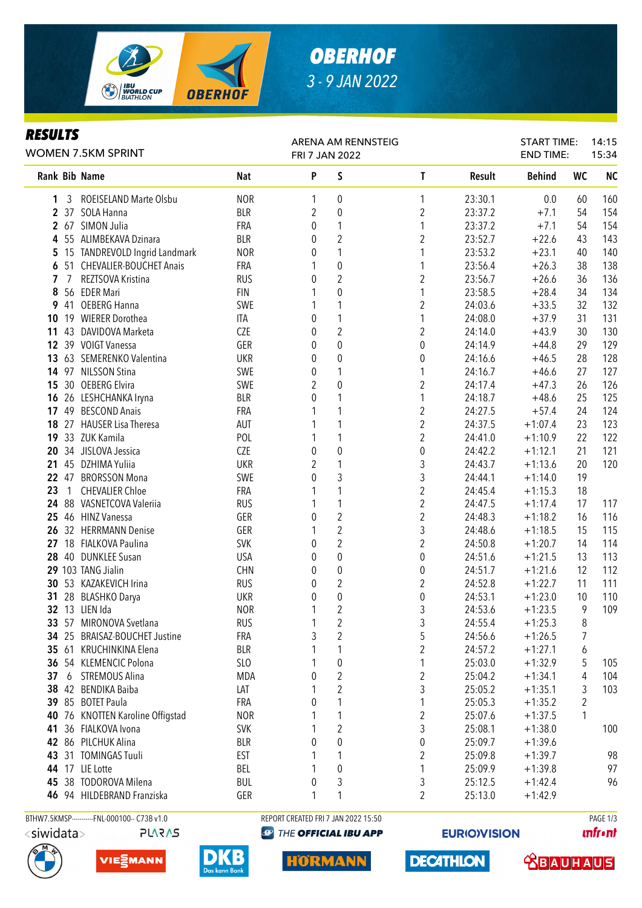

# *OBERHOF 3 - 9 JAN 2022*

### *RESULTS*

| WOMEN 7.5KM SPRINT |       |                                    |                          | ARENA AM RENNSTEIG<br>FRI 7 JAN 2022 |                                |                         |                    | <b>START TIME:</b><br><b>END TIME:</b> |           | 14:15<br>15:34 |  |
|--------------------|-------|------------------------------------|--------------------------|--------------------------------------|--------------------------------|-------------------------|--------------------|----------------------------------------|-----------|----------------|--|
|                    |       | Rank Bib Name                      | Nat                      | P                                    | S                              | T                       | Result             | <b>Behind</b>                          | <b>WC</b> | <b>NC</b>      |  |
| 1                  |       | 3 ROEISELAND Marte Olsbu           | <b>NOR</b>               | 1                                    | 0                              | 1                       | 23:30.1            | 0.0                                    | 60        | 160            |  |
|                    |       | 2 37 SOLA Hanna                    | <b>BLR</b>               | 2                                    | 0                              | $\overline{2}$          | 23:37.2            | $+7.1$                                 | 54        | 154            |  |
|                    |       | 2 67 SIMON Julia                   | FRA                      | 0                                    | 1                              | 1                       | 23:37.2            | $+7.1$                                 | 54        | 154            |  |
|                    |       | 4 55 ALIMBEKAVA Dzinara            | <b>BLR</b>               | 0                                    | $\overline{2}$                 | 2                       | 23:52.7            | $+22.6$                                | 43        | 143            |  |
|                    |       | 5 15 TANDREVOLD Ingrid Landmark    | <b>NOR</b>               | 0                                    | 1                              | 1                       | 23:53.2            | $+23.1$                                | 40        | 140            |  |
| 6                  |       | 51 CHEVALIER-BOUCHET Anais         | FRA                      | 1                                    | $\boldsymbol{0}$               | 1                       | 23:56.4            | $+26.3$                                | 38        | 138            |  |
| 7                  | 7     | REZTSOVA Kristina                  | <b>RUS</b>               | 0                                    | $\overline{2}$                 | $\overline{2}$          | 23:56.7            | $+26.6$                                | 36        | 136            |  |
| 8                  |       | 56 EDER Mari                       | <b>FIN</b>               | 1                                    | $\mathbf{0}$                   | 1                       | 23:58.5            | $+28.4$                                | 34        | 134            |  |
| 9                  | 41    | <b>OEBERG Hanna</b>                | SWE                      | 1                                    | 1                              | $\overline{2}$          | 24:03.6            | $+33.5$                                | 32        | 132            |  |
| 10                 |       | 19 WIERER Dorothea                 | <b>ITA</b>               | 0                                    | $\mathbf{1}$                   | 1                       | 24:08.0            | $+37.9$                                | 31        | 131            |  |
|                    | 11 43 | DAVIDOVA Marketa                   | CZE                      | 0                                    | $\overline{2}$                 | $\boldsymbol{2}$        | 24:14.0            | $+43.9$                                | 30        | 130            |  |
|                    |       | 12 39 VOIGT Vanessa                | GER                      | 0                                    | $\mathbf 0$                    | 0                       | 24:14.9            | $+44.8$                                | 29        | 129            |  |
|                    |       | 13 63 SEMERENKO Valentina          | <b>UKR</b>               | 0                                    | $\boldsymbol{0}$               | 0                       | 24:16.6            | $+46.5$                                | 28        | 128            |  |
| 14                 |       | 97 NILSSON Stina                   | SWE                      | 0                                    | 1                              | 1                       | 24:16.7            | $+46.6$                                | 27        | 127            |  |
| 15                 |       | 30 OEBERG Elvira                   | SWE                      | $\overline{2}$                       | $\mathbf{0}$                   | $\overline{\mathbf{c}}$ | 24:17.4            | $+47.3$                                | 26        | 126            |  |
| 16                 |       | 26 LESHCHANKA Iryna                | <b>BLR</b>               | 0                                    | 1                              | 1                       | 24:18.7            | $+48.6$                                | 25        | 125            |  |
| 17                 |       | 49 BESCOND Anais                   | FRA                      |                                      | 1                              | $\overline{c}$          | 24:27.5            | $+57.4$                                | 24        | 124            |  |
| 18                 |       | 27 HAUSER Lisa Theresa             | AUT                      |                                      | 1                              | $\overline{c}$          | 24:37.5            | $+1:07.4$                              | 23        | 123            |  |
| 19                 |       | 33 ZUK Kamila                      | POL                      |                                      | $\mathbf{1}$                   | $\overline{2}$          | 24:41.0            | $+1:10.9$                              | 22        | 122            |  |
| 20                 |       | 34 JISLOVA Jessica                 | CZE                      | 0                                    | $\mathbf 0$                    | $\boldsymbol{0}$        | 24:42.2            | $+1:12.1$                              | 21        | 121            |  |
| 21                 |       | 45 DZHIMA Yuliia                   | <b>UKR</b>               | $\overline{2}$                       | 1                              | 3                       | 24:43.7            | $+1:13.6$                              | 20        | 120            |  |
|                    | 22 47 | <b>BRORSSON Mona</b>               | SWE                      | $\theta$                             | 3                              | 3                       | 24:44.1            | $+1:14.0$                              | 19        |                |  |
| 23                 | 1     | <b>CHEVALIER Chloe</b>             | <b>FRA</b>               |                                      | 1                              | $\overline{c}$          | 24:45.4            | $+1:15.3$                              | 18        |                |  |
| 24                 |       | 88 VASNETCOVA Valeriia             | <b>RUS</b>               |                                      | 1                              | $\overline{c}$          | 24:47.5            | $+1:17.4$                              | 17        | 117            |  |
| 25                 |       | 46 HINZ Vanessa                    | GER                      | 0                                    | $\overline{2}$                 | $\boldsymbol{2}$        | 24:48.3            | $+1:18.2$                              | 16        | 116            |  |
|                    |       | 26 32 HERRMANN Denise              | GER                      | 1                                    | $\sqrt{2}$                     | 3                       | 24:48.6            | $+1:18.5$                              | 15        | 115            |  |
|                    |       | 27 18 FIALKOVA Paulina             | SVK                      | 0                                    | $\sqrt{2}$                     | $\overline{\mathbf{c}}$ | 24:50.8            | $+1:20.7$                              | 14        | 114            |  |
| 28                 |       | 40 DUNKLEE Susan                   | <b>USA</b>               | 0                                    | 0                              | 0                       | 24:51.6            | $+1:21.5$                              | 13        | 113            |  |
|                    |       | 29 103 TANG Jialin                 | <b>CHN</b>               | 0                                    | 0                              | 0                       | 24:51.7            | $+1:21.6$                              | 12        | 112            |  |
| 30<br>31           |       | 53 KAZAKEVICH Irina                | <b>RUS</b><br><b>UKR</b> | 0<br>0                               | $\sqrt{2}$<br>$\boldsymbol{0}$ | 2<br>0                  | 24:52.8<br>24:53.1 | $+1:22.7$<br>$+1:23.0$                 | 11<br>10  | 111<br>110     |  |
|                    |       | 28 BLASHKO Darya<br>32 13 LIEN Ida | <b>NOR</b>               | 1                                    | $\sqrt{2}$                     | 3                       | 24:53.6            | $+1:23.5$                              | 9         | 109            |  |
|                    |       | 33 57 MIRONOVA Svetlana            | <b>RUS</b>               | 1                                    | $\sqrt{2}$                     | 3                       | 24:55.4            | $+1:25.3$                              | 8         |                |  |
|                    |       | 34 25 BRAISAZ-BOUCHET Justine      | FRA                      | 3                                    | $\sqrt{2}$                     | 5                       | 24:56.6            | $+1:26.5$                              | 7         |                |  |
|                    |       | 35 61 KRUCHINKINA Elena            | <b>BLR</b>               |                                      | 1                              | $\boldsymbol{2}$        | 24:57.2            | $+1:27.1$                              | 6         |                |  |
|                    |       | 36 54 KLEMENCIC Polona             | SL <sub>0</sub>          |                                      | $\pmb{0}$                      | 1                       | 25:03.0            | $+1:32.9$                              | 5         | 105            |  |
| 37                 |       | 6 STREMOUS Alina                   | <b>MDA</b>               | 0                                    | $\sqrt{2}$                     | $\overline{\mathbf{c}}$ | 25:04.2            | $+1:34.1$                              | 4         | 104            |  |
| 38                 |       | 42 BENDIKA Baiba                   | LAT                      |                                      | $\overline{2}$                 | 3                       | 25:05.2            | $+1:35.1$                              | 3         | 103            |  |
|                    |       | 39 85 BOTET Paula                  | <b>FRA</b>               | 0                                    | 1                              | 1                       | 25:05.3            | $+1:35.2$                              | 2         |                |  |
| 40                 |       | 76 KNOTTEN Karoline Offigstad      | <b>NOR</b>               |                                      | 1                              | $\overline{c}$          | 25:07.6            | $+1:37.5$                              | 1         |                |  |
| 41                 |       | 36 FIALKOVA Ivona                  | <b>SVK</b>               |                                      | $\overline{2}$                 | 3                       | 25:08.1            | $+1:38.0$                              |           | 100            |  |
|                    |       | 42 86 PILCHUK Alina                | <b>BLR</b>               | 0                                    | 0                              | $\boldsymbol{0}$        | 25:09.7            | $+1:39.6$                              |           |                |  |
| 43                 |       | 31 TOMINGAS Tuuli                  | <b>EST</b>               | 1                                    | 1                              | $\overline{\mathbf{c}}$ | 25:09.8            | $+1:39.7$                              |           | 98             |  |
|                    |       | 44 17 LIE Lotte                    | BEL                      |                                      | $\boldsymbol{0}$               | 1                       | 25:09.9            | $+1:39.8$                              |           | 97             |  |
| 45                 |       | 38 TODOROVA Milena                 | <b>BUL</b>               | 0                                    | 3                              | 3                       | 25:12.5            | $+1:42.4$                              |           | 96             |  |
|                    |       | 46 94 HILDEBRAND Franziska         | GER                      | 1                                    | 1                              | 2                       | 25:13.0            | $+1:42.9$                              |           |                |  |
|                    |       |                                    |                          |                                      |                                |                         |                    |                                        |           |                |  |

**PLARAS** 



VIESMANN



BTHW7.5KMSP----------FNL-000100-- C73B v1.0 REPORT CREATED FRI 7 JAN 2022 15:50 REPORT CREATED FRI 7 JAN 2022 15:50 **@** THE OFFICIAL IBU APP

**HORMANN** 

**EURIO)VISION** 

**DECATHLON** 

**unfront** 

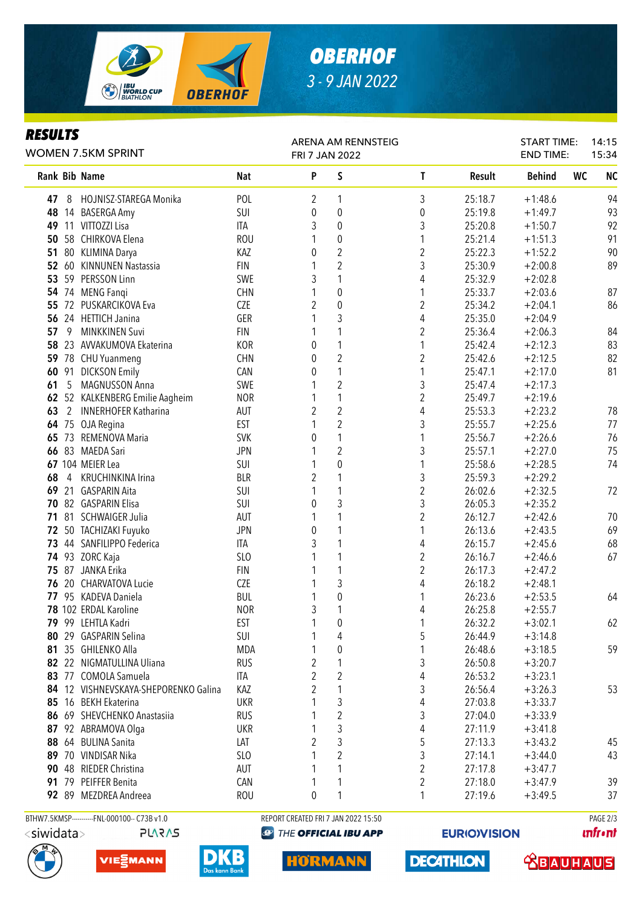

## *OBERHOF 3 - 9 JAN 2022*

### *RESULTS*

| KESULIS<br><b>WOMEN 7.5KM SPRINT</b> |              | ARENA AM RENNSTEIG<br>FRI 7 JAN 2022 |                 |                  |                  |  |                         | <b>START TIME:</b><br><b>END TIME:</b> |               | 14:15<br>15:34 |           |
|--------------------------------------|--------------|--------------------------------------|-----------------|------------------|------------------|--|-------------------------|----------------------------------------|---------------|----------------|-----------|
|                                      |              | Rank Bib Name                        | <b>Nat</b>      | P                | S                |  | T                       | Result                                 | <b>Behind</b> | WC             | <b>NC</b> |
| 47                                   | 8            | HOJNISZ-STAREGA Monika               | POL             | 2                | 1                |  | 3                       | 25:18.7                                | $+1:48.6$     |                | 94        |
| 48                                   |              | 14 BASERGA Amy                       | SUI             | 0                | $\boldsymbol{0}$ |  | 0                       | 25:19.8                                | $+1:49.7$     |                | 93        |
| 49                                   |              | 11 VITTOZZI Lisa                     | ITA             | 3                | 0                |  | 3                       | 25:20.8                                | $+1:50.7$     |                | 92        |
| 50                                   |              | 58 CHIRKOVA Elena                    | <b>ROU</b>      | 1                | $\boldsymbol{0}$ |  | 1                       | 25:21.4                                | $+1:51.3$     |                | 91        |
| 51                                   |              | 80 KLIMINA Darya                     | KAZ             | 0                | $\overline{2}$   |  | $\boldsymbol{2}$        | 25:22.3                                | $+1:52.2$     |                | 90        |
| 52                                   | 60           | <b>KINNUNEN Nastassia</b>            | <b>FIN</b>      | 1                | 2                |  | 3                       | 25:30.9                                | $+2:00.8$     |                | 89        |
| 53                                   |              | 59 PERSSON Linn                      | SWE             | 3                | 1                |  | 4                       | 25:32.9                                | $+2:02.8$     |                |           |
| 54                                   |              | 74 MENG Fangi                        | <b>CHN</b>      |                  | $\pmb{0}$        |  | 1                       | 25:33.7                                | $+2:03.6$     |                | 87        |
| 55                                   | 72           | PUSKARCIKOVA Eva                     | CZE             | $\overline{2}$   | $\boldsymbol{0}$ |  | 2                       | 25:34.2                                | $+2:04.1$     |                | 86        |
| 56                                   |              | 24 HETTICH Janina                    | GER             |                  | 3                |  | 4                       | 25:35.0                                | $+2:04.9$     |                |           |
| 57                                   | 9            | <b>MINKKINEN Suvi</b>                | <b>FIN</b>      | 1                | 1                |  | 2                       | 25:36.4                                | $+2:06.3$     |                | 84        |
| 58                                   |              | 23 AVVAKUMOVA Ekaterina              | KOR             | 0                | 1                |  | 1                       | 25:42.4                                | $+2:12.3$     |                | 83        |
| 59                                   |              | 78 CHU Yuanmeng                      | <b>CHN</b>      | 0                | $\sqrt{2}$       |  | $\overline{\mathbf{c}}$ | 25:42.6                                | $+2:12.5$     |                | 82        |
| 60                                   | 91           | <b>DICKSON Emily</b>                 | CAN             | $\boldsymbol{0}$ | $\mathbf{1}$     |  | 1                       | 25:47.1                                | $+2:17.0$     |                | 81        |
| 61                                   | 5            | MAGNUSSON Anna                       | SWE             | 1                | $\sqrt{2}$       |  | 3                       | 25:47.4                                | $+2:17.3$     |                |           |
| 62                                   |              | 52 KALKENBERG Emilie Aagheim         | <b>NOR</b>      | 1                | $\mathbf{1}$     |  | $\overline{\mathbf{c}}$ | 25:49.7                                | $+2:19.6$     |                |           |
| 63                                   | $\mathbf{2}$ | <b>INNERHOFER Katharina</b>          | AUT             | $\overline{2}$   | $\overline{2}$   |  | 4                       | 25:53.3                                | $+2:23.2$     |                | 78        |
| 64                                   | 75           | OJA Regina                           | EST             | 1                | $\sqrt{2}$       |  | 3                       | 25:55.7                                | $+2:25.6$     |                | 77        |
| 65                                   | 73           | REMENOVA Maria                       | <b>SVK</b>      | 0                | $\mathbf{1}$     |  | 1                       | 25:56.7                                | $+2:26.6$     |                | 76        |
| 66                                   |              | 83 MAEDA Sari                        | <b>JPN</b>      | 1                | $\overline{2}$   |  | 3                       | 25:57.1                                | $+2:27.0$     |                | 75        |
|                                      |              | 67 104 MEIER Lea                     | SUI             | 1                | $\mathbf{0}$     |  | 1                       | 25:58.6                                | $+2:28.5$     |                | 74        |
| 68                                   | 4            | KRUCHINKINA Irina                    | <b>BLR</b>      | 2                | 1                |  | 3                       | 25:59.3                                | $+2:29.2$     |                |           |
| 69                                   | 21           | <b>GASPARIN Aita</b>                 | SUI             | 1                | 1                |  | $\overline{2}$          | 26:02.6                                | $+2:32.5$     |                | 72        |
| 70                                   |              | 82 GASPARIN Elisa                    | SUI             | $\theta$         | 3                |  | 3                       | 26:05.3                                | $+2:35.2$     |                |           |
| 71                                   |              | 81 SCHWAIGER Julia                   | AUT             | 1                | 1                |  | $\overline{2}$          | 26:12.7                                | $+2:42.6$     |                | 70        |
|                                      |              | 72 50 TACHIZAKI Fuyuko               | <b>JPN</b>      | 0                | 1                |  | 1                       | 26:13.6                                | $+2:43.5$     |                | 69        |
|                                      |              | 73 44 SANFILIPPO Federica            | ITA             | 3                | 1                |  | 4                       | 26:15.7                                | $+2:45.6$     |                | 68        |
|                                      |              | <b>74 93 ZORC Kaja</b>               | SLO             |                  | 1                |  | 2                       | 26:16.7                                | $+2:46.6$     |                | 67        |
|                                      |              | 75 87 JANKA Erika                    | <b>FIN</b>      |                  | 1                |  | $\overline{2}$          | 26:17.3                                | $+2:47.2$     |                |           |
| 76                                   | 20           | CHARVATOVA Lucie                     | CZE             | 1                | 3                |  | 4                       | 26:18.2                                | $+2:48.1$     |                |           |
| 77                                   |              | 95 KADEVA Daniela                    | <b>BUL</b>      | 1                | $\pmb{0}$        |  | 1                       | 26:23.6                                | $+2:53.5$     |                | 64        |
|                                      |              | 78 102 ERDAL Karoline                | <b>NOR</b>      | 3                | 1                |  | 4                       | 26:25.8                                | $+2:55.7$     |                |           |
|                                      |              | 79 99 LEHTLA Kadri                   | EST             | 1                | 0                |  | 1                       | 26:32.2                                | $+3:02.1$     |                | 62        |
| 80                                   |              | 29 GASPARIN Selina                   | SUI             |                  | 4                |  | 5                       | 26:44.9                                | $+3:14.8$     |                |           |
|                                      |              | 81 35 GHILENKO Alla                  | MDA             |                  | $\boldsymbol{0}$ |  | 1                       | 26:48.6                                | $+3:18.5$     |                | 59        |
|                                      |              | 82 22 NIGMATULLINA Uliana            | <b>RUS</b>      | 2                | 1                |  | 3                       | 26:50.8                                | $+3:20.7$     |                |           |
|                                      |              | 83 77 COMOLA Samuela                 | ITA             | $\overline{2}$   | $\overline{c}$   |  | 4                       | 26:53.2                                | $+3:23.1$     |                |           |
|                                      |              | 84 12 VISHNEVSKAYA-SHEPORENKO Galina | KAZ             | $\overline{2}$   |                  |  | 3                       | 26:56.4                                | $+3:26.3$     |                | 53        |
| 85                                   |              | 16 BEKH Ekaterina                    | <b>UKR</b>      |                  | 3                |  | 4                       | 27:03.8                                | $+3:33.7$     |                |           |
|                                      |              | 86 69 SHEVCHENKO Anastasiia          | <b>RUS</b>      |                  | $\overline{2}$   |  | 3                       | 27:04.0                                | $+3:33.9$     |                |           |
| 87                                   |              | 92 ABRAMOVA Olga                     | <b>UKR</b>      |                  | 3                |  | 4                       | 27:11.9                                | $+3:41.8$     |                |           |
|                                      |              | 88 64 BULINA Sanita                  | LAT             | 2                | 3                |  | 5                       | 27:13.3                                | $+3:43.2$     |                | 45        |
|                                      |              | 89 70 VINDISAR Nika                  | SL <sub>0</sub> |                  | $\overline{c}$   |  | 3                       | 27:14.1                                | $+3:44.0$     |                | 43        |
|                                      |              | 90 48 RIEDER Christina               | AUT             |                  | 1                |  | $\overline{\mathbf{c}}$ | 27:17.8                                | $+3:47.7$     |                |           |
|                                      |              | 91 79 PEIFFER Benita                 | CAN             | 1                | 1                |  | $\overline{\mathbf{c}}$ | 27:18.0                                | $+3:47.9$     |                | 39        |
|                                      |              | 92 89 MEZDREA Andreea                | <b>ROU</b>      | 0                | 1                |  | 1                       | 27:19.6                                | $+3:49.5$     |                | 37        |
|                                      |              |                                      |                 |                  |                  |  |                         |                                        |               |                |           |

**PLARAS** 







BTHW7.5KMSP----------FNL-000100-- C73B v1.0 REPORT CREATED FRI 7 JAN 2022 15:50 PAGE 2/3 **@ THE OFFICIAL IBU APP** 

**HORMANN** 

**EURIO)VISION** 

**DECATHLON** 

**unfront** 

 **<u>CBAUHAUS</u>**